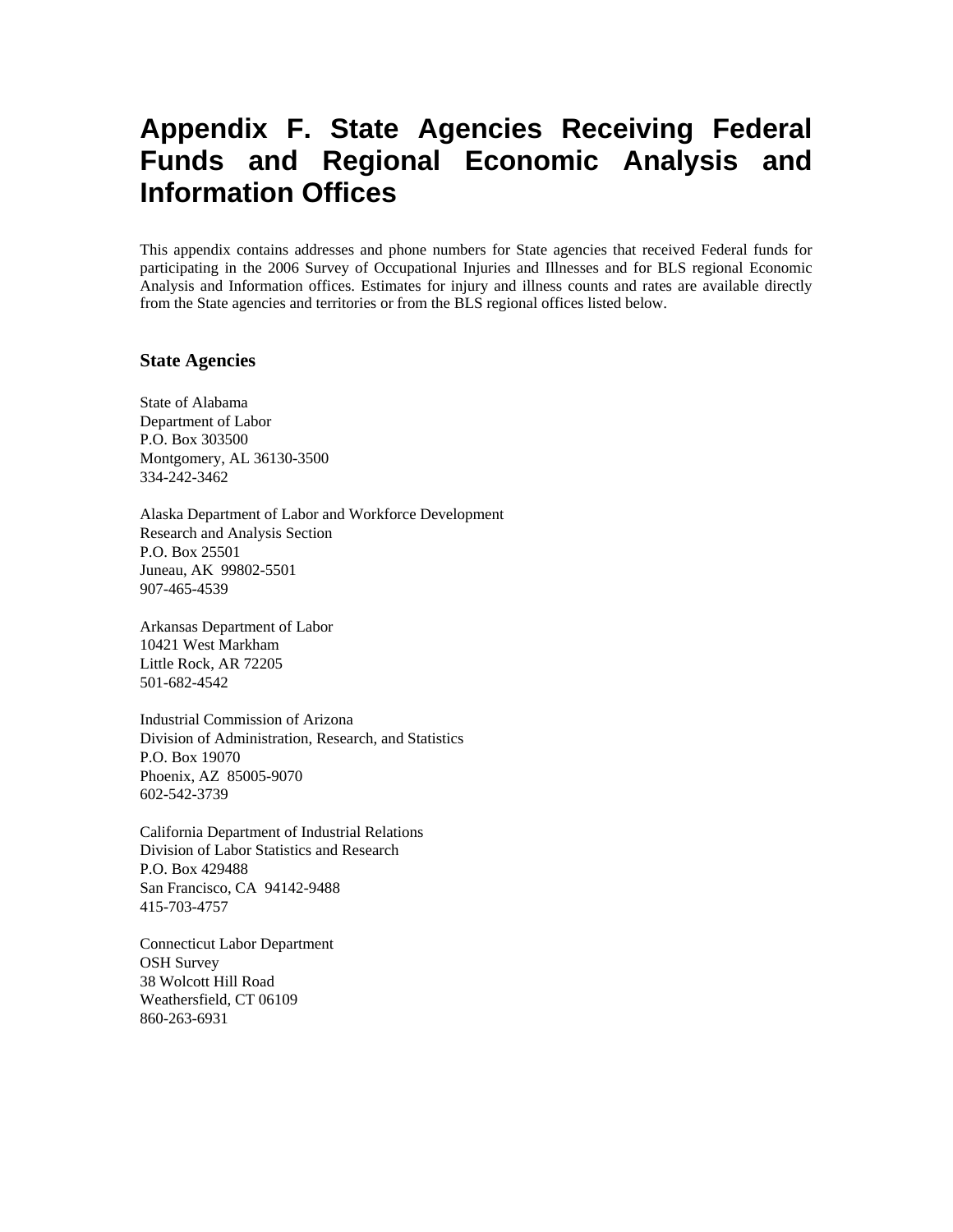## **Appendix F. State Agencies Receiving Federal Funds and Regional Economic Analysis and Information Offices**

This appendix contains addresses and phone numbers for State agencies that received Federal funds for participating in the 2006 Survey of Occupational Injuries and Illnesses and for BLS regional Economic Analysis and Information offices. Estimates for injury and illness counts and rates are available directly from the State agencies and territories or from the BLS regional offices listed below.

## **State Agencies**

State of Alabama Department of Labor P.O. Box 303500 Montgomery, AL 36130-3500 334-242-3462

Alaska Department of Labor and Workforce Development Research and Analysis Section P.O. Box 25501 Juneau, AK 99802-5501 907-465-4539

Arkansas Department of Labor 10421 West Markham Little Rock, AR 72205 501-682-4542

Industrial Commission of Arizona Division of Administration, Research, and Statistics P.O. Box 19070 Phoenix, AZ 85005-9070 602-542-3739

California Department of Industrial Relations Division of Labor Statistics and Research P.O. Box 429488 San Francisco, CA 94142-9488 415-703-4757

Connecticut Labor Department OSH Survey 38 Wolcott Hill Road Weathersfield, CT 06109 860-263-6931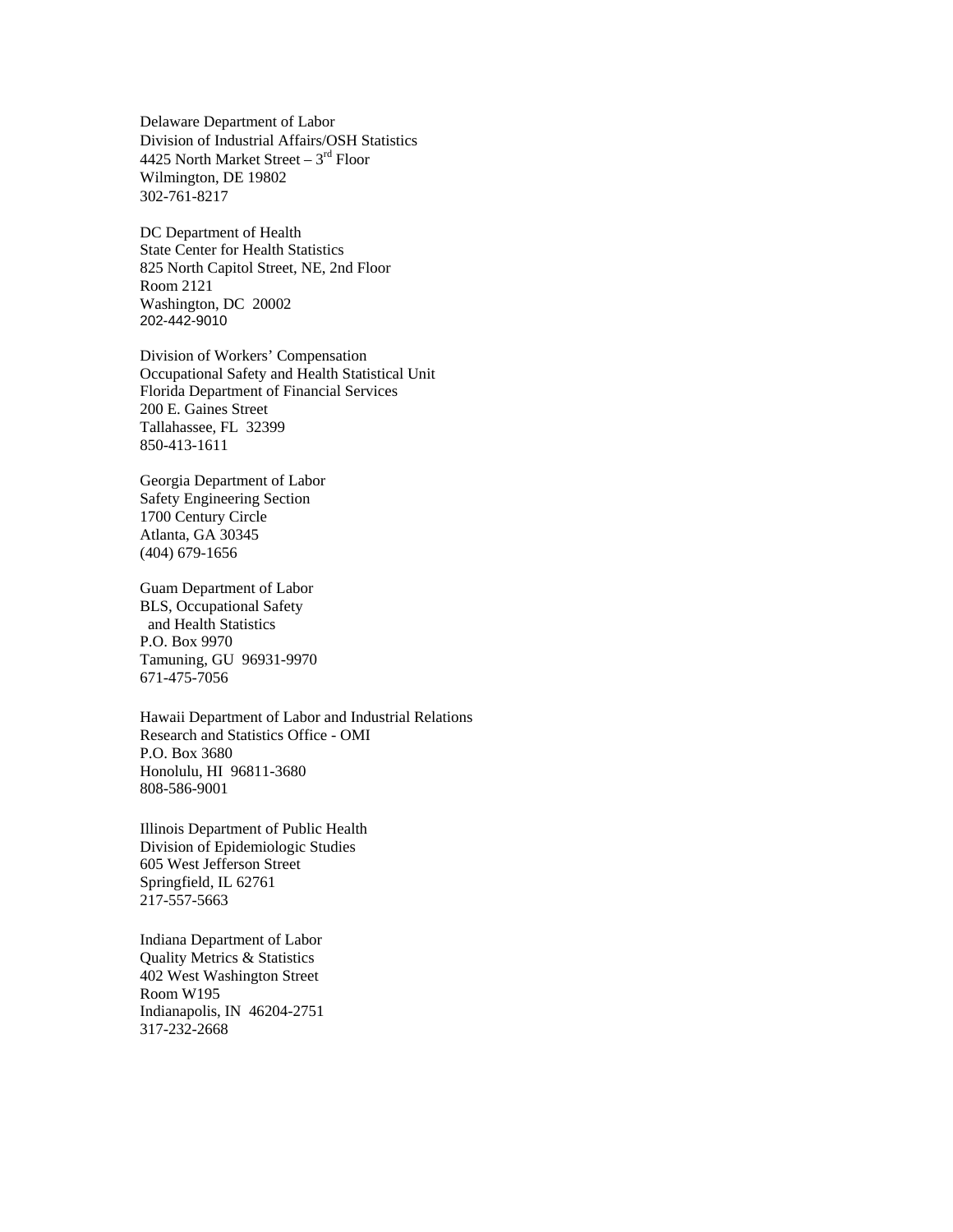Delaware Department of Labor Division of Industrial Affairs/OSH Statistics 4425 North Market Street – 3rd Floor Wilmington, DE 19802 302-761-8217

DC Department of Health State Center for Health Statistics 825 North Capitol Street, NE, 2nd Floor Room 2121 Washington, DC 20002 202-442-9010

Division of Workers' Compensation Occupational Safety and Health Statistical Unit Florida Department of Financial Services 200 E. Gaines Street Tallahassee, FL 32399 850-413-1611

Georgia Department of Labor Safety Engineering Section 1700 Century Circle Atlanta, GA 30345 (404) 679-1656

Guam Department of Labor BLS, Occupational Safety and Health Statistics P.O. Box 9970 Tamuning, GU 96931-9970 671-475-7056

Hawaii Department of Labor and Industrial Relations Research and Statistics Office - OMI P.O. Box 3680 Honolulu, HI 96811-3680 808-586-9001

Illinois Department of Public Health Division of Epidemiologic Studies 605 West Jefferson Street Springfield, IL 62761 217-557-5663

Indiana Department of Labor Quality Metrics & Statistics 402 West Washington Street Room W195 Indianapolis, IN 46204-2751 317-232-2668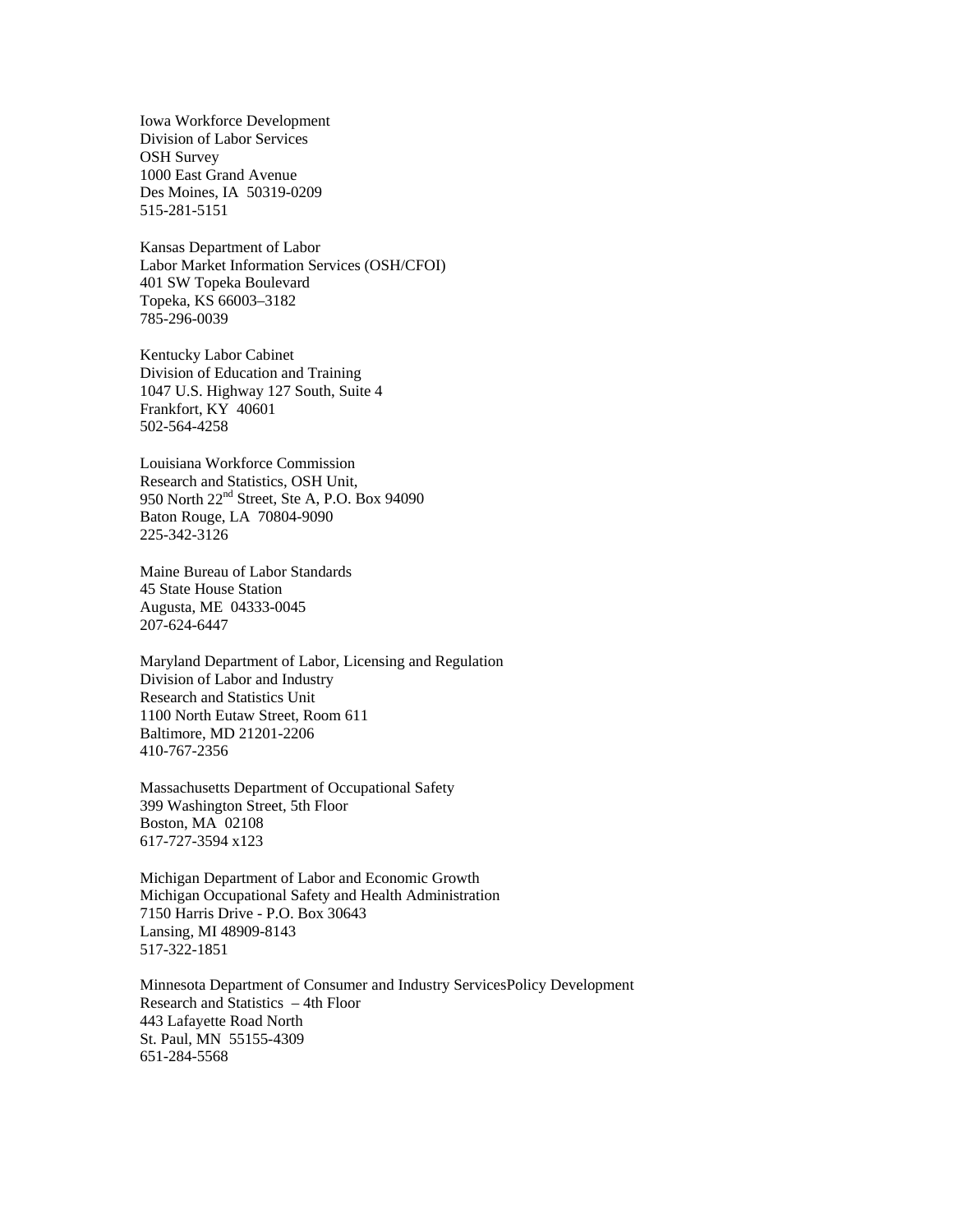Iowa Workforce Development Division of Labor Services OSH Survey 1000 East Grand Avenue Des Moines, IA 50319-0209 515-281-5151

Kansas Department of Labor Labor Market Information Services (OSH/CFOI) 401 SW Topeka Boulevard Topeka, KS 66003–3182 785-296-0039

Kentucky Labor Cabinet Division of Education and Training 1047 U.S. Highway 127 South, Suite 4 Frankfort, KY 40601 502-564-4258

Louisiana Workforce Commission Research and Statistics, OSH Unit, 950 North 22<sup>nd</sup> Street, Ste A, P.O. Box 94090 Baton Rouge, LA 70804-9090 225-342-3126

Maine Bureau of Labor Standards 45 State House Station Augusta, ME 04333-0045 207-624-6447

Maryland Department of Labor, Licensing and Regulation Division of Labor and Industry Research and Statistics Unit 1100 North Eutaw Street, Room 611 Baltimore, MD 21201-2206 410-767-2356

Massachusetts Department of Occupational Safety 399 Washington Street, 5th Floor Boston, MA 02108 617-727-3594 x123

Michigan Department of Labor and Economic Growth Michigan Occupational Safety and Health Administration 7150 Harris Drive - P.O. Box 30643 Lansing, MI 48909-8143 517-322-1851

Minnesota Department of Consumer and Industry ServicesPolicy Development Research and Statistics – 4th Floor 443 Lafayette Road North St. Paul, MN 55155-4309 651-284-5568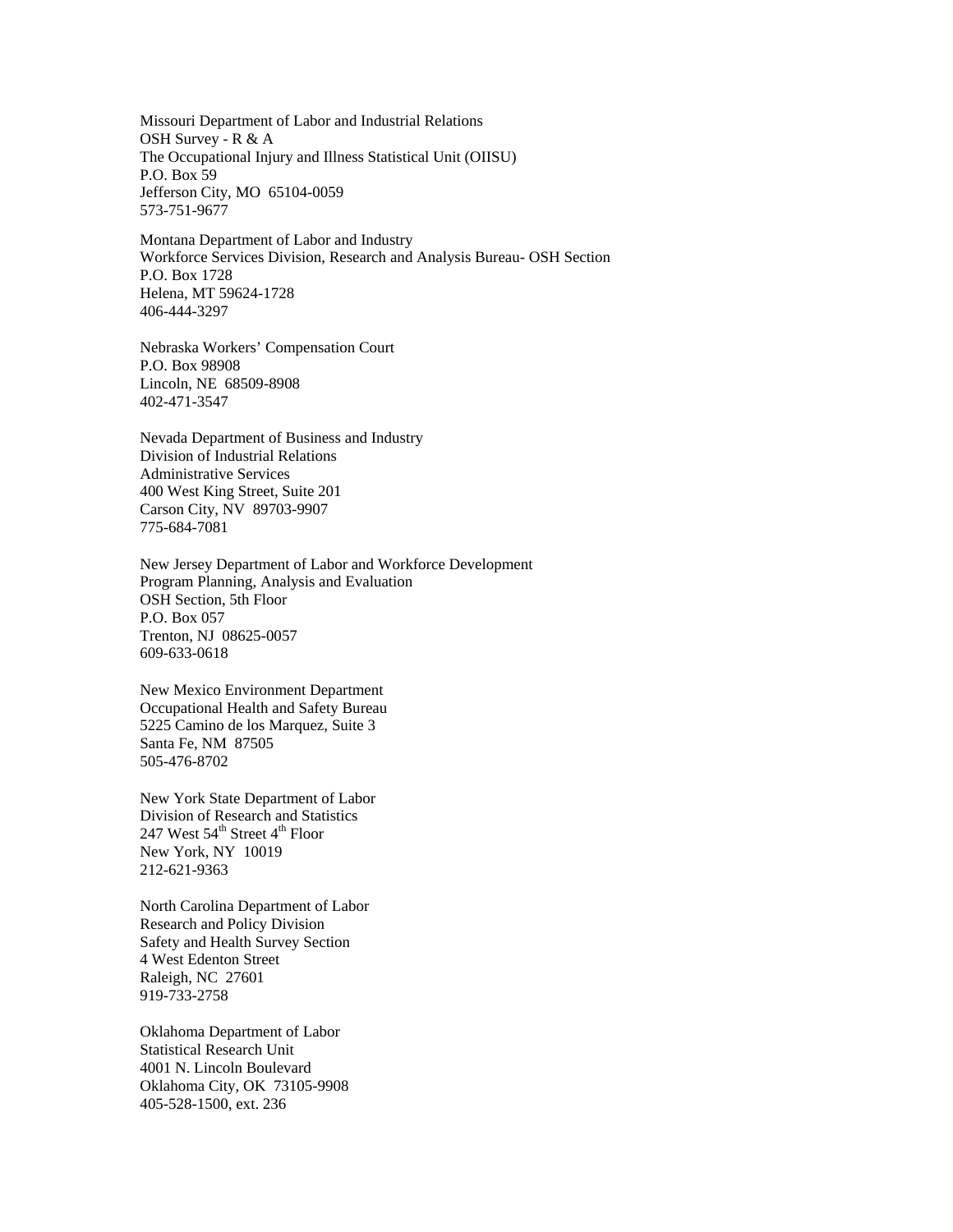Missouri Department of Labor and Industrial Relations OSH Survey - R & A The Occupational Injury and Illness Statistical Unit (OIISU) P.O. Box 59 Jefferson City, MO 65104-0059 573-751-9677

Montana Department of Labor and Industry Workforce Services Division, Research and Analysis Bureau- OSH Section P.O. Box 1728 Helena, MT 59624-1728 406-444-3297

Nebraska Workers' Compensation Court P.O. Box 98908 Lincoln, NE 68509-8908 402-471-3547

Nevada Department of Business and Industry Division of Industrial Relations Administrative Services 400 West King Street, Suite 201 Carson City, NV 89703-9907 775-684-7081

New Jersey Department of Labor and Workforce Development Program Planning, Analysis and Evaluation OSH Section, 5th Floor P.O. Box 057 Trenton, NJ 08625-0057 609-633-0618

New Mexico Environment Department Occupational Health and Safety Bureau 5225 Camino de los Marquez, Suite 3 Santa Fe, NM 87505 505-476-8702

New York State Department of Labor Division of Research and Statistics 247 West  $54^{\text{th}}$  Street  $4^{\text{th}}$  Floor New York, NY 10019 212-621-9363

North Carolina Department of Labor Research and Policy Division Safety and Health Survey Section 4 West Edenton Street Raleigh, NC 27601 919-733-2758

Oklahoma Department of Labor Statistical Research Unit 4001 N. Lincoln Boulevard Oklahoma City, OK 73105-9908 405-528-1500, ext. 236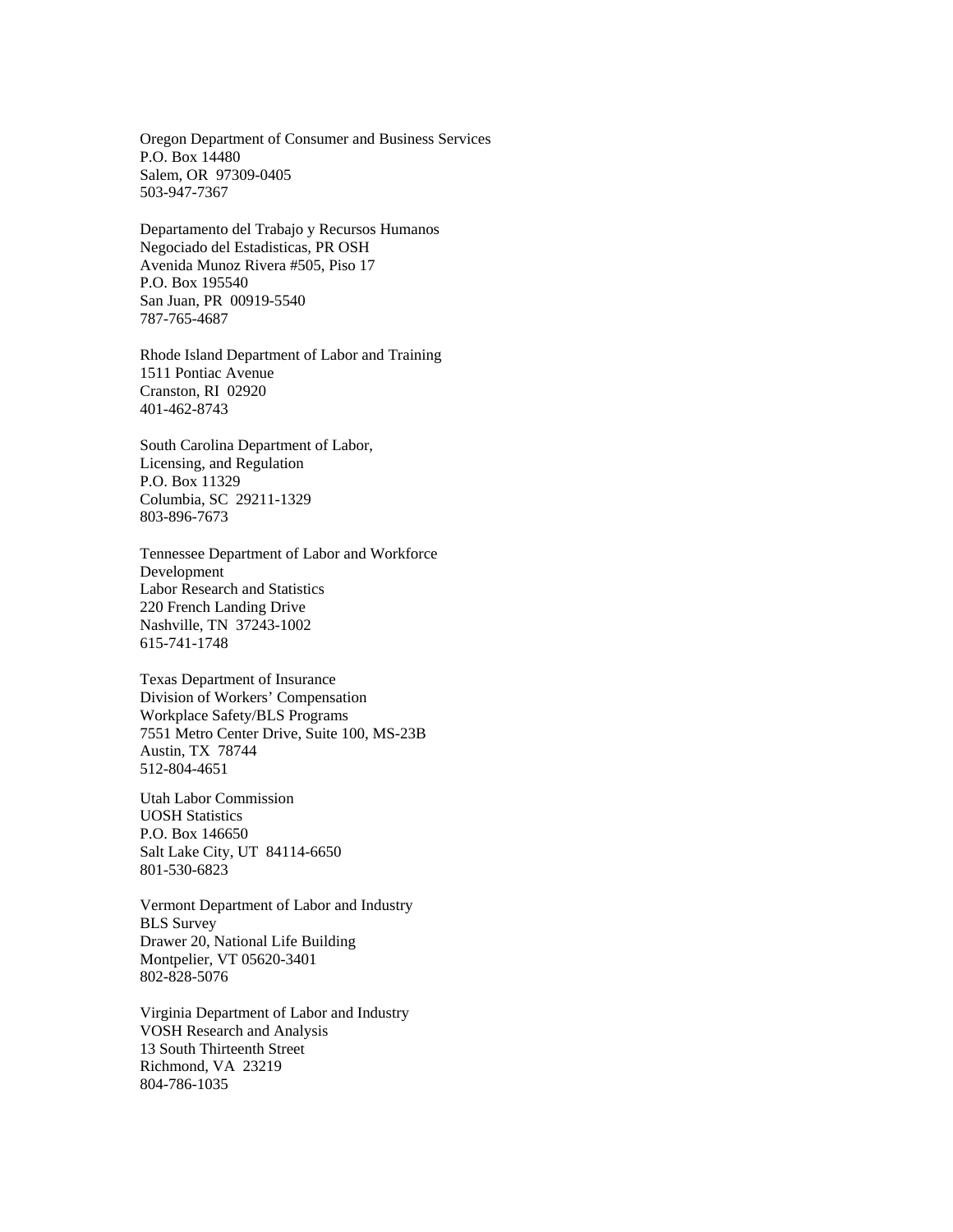Oregon Department of Consumer and Business Services P.O. Box 14480 Salem, OR 97309-0405 503-947-7367

Departamento del Trabajo y Recursos Humanos Negociado del Estadisticas, PR OSH Avenida Munoz Rivera #505, Piso 17 P.O. Box 195540 San Juan, PR 00919-5540 787-765-4687

Rhode Island Department of Labor and Training 1511 Pontiac Avenue Cranston, RI 02920 401-462-8743

South Carolina Department of Labor, Licensing, and Regulation P.O. Box 11329 Columbia, SC 29211-1329 803-896-7673

Tennessee Department of Labor and Workforce Development Labor Research and Statistics 220 French Landing Drive Nashville, TN 37243-1002 615-741-1748

Texas Department of Insurance Division of Workers' Compensation Workplace Safety/BLS Programs 7551 Metro Center Drive, Suite 100, MS-23B Austin, TX 78744 512-804-4651

Utah Labor Commission UOSH Statistics P.O. Box 146650 Salt Lake City, UT 84114-6650 801-530-6823

Vermont Department of Labor and Industry BLS Survey Drawer 20, National Life Building Montpelier, VT 05620-3401 802-828-5076

Virginia Department of Labor and Industry VOSH Research and Analysis 13 South Thirteenth Street Richmond, VA 23219 804-786-1035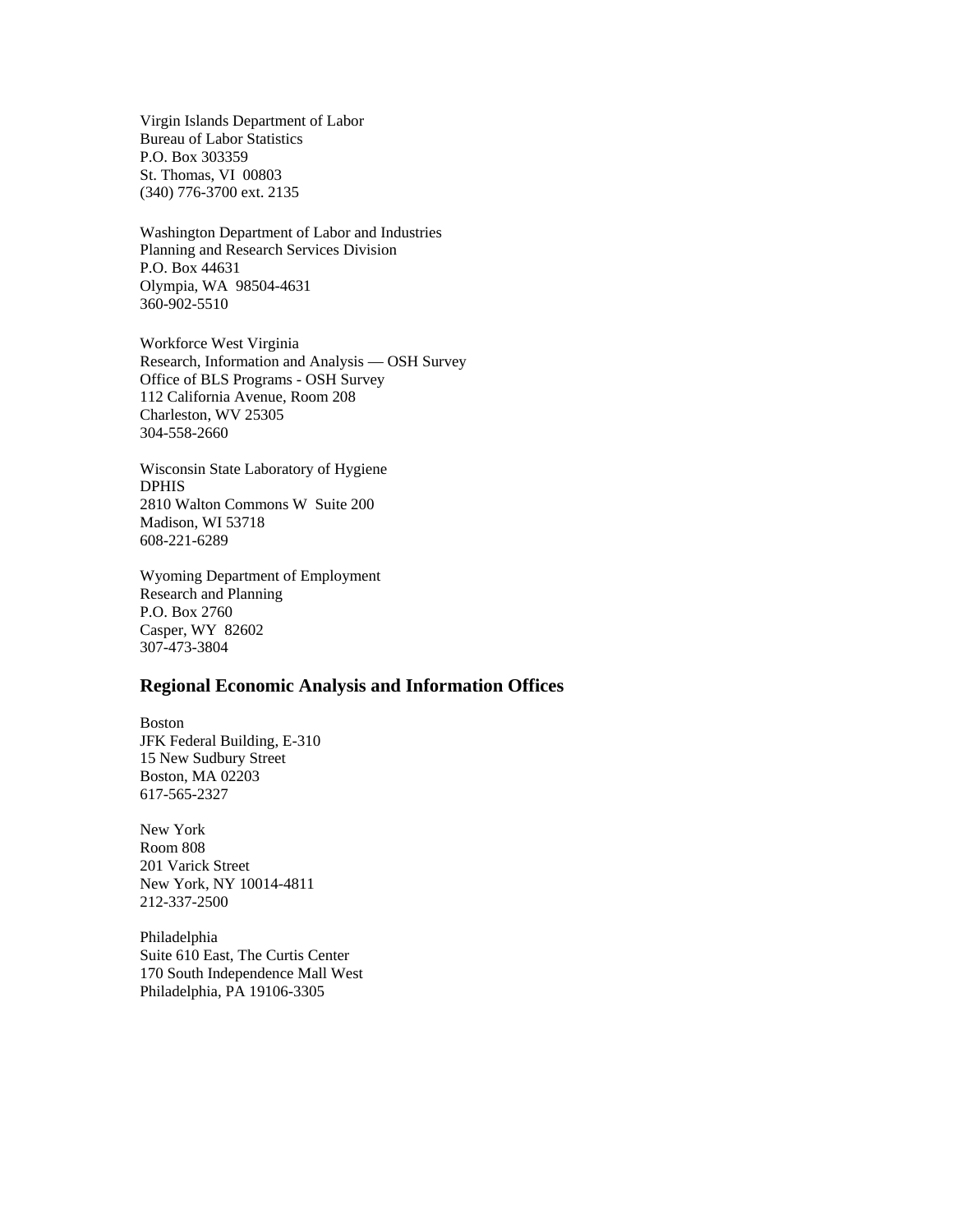Virgin Islands Department of Labor Bureau of Labor Statistics P.O. Box 303359 St. Thomas, VI 00803 (340) 776-3700 ext. 2135

Washington Department of Labor and Industries Planning and Research Services Division P.O. Box 44631 Olympia, WA 98504-4631 360-902-5510

Workforce West Virginia Research, Information and Analysis — OSH Survey Office of BLS Programs - OSH Survey 112 California Avenue, Room 208 Charleston, WV 25305 304-558-2660

Wisconsin State Laboratory of Hygiene DPHIS 2810 Walton Commons W Suite 200 Madison, WI 53718 608-221-6289

Wyoming Department of Employment Research and Planning P.O. Box 2760 Casper, WY 82602 307-473-3804

## **Regional Economic Analysis and Information Offices**

Boston JFK Federal Building, E-310 15 New Sudbury Street Boston, MA 02203 617-565-2327

New York Room 808 201 Varick Street New York, NY 10014-4811 212-337-2500

Philadelphia Suite 610 East, The Curtis Center 170 South Independence Mall West Philadelphia, PA 19106-3305